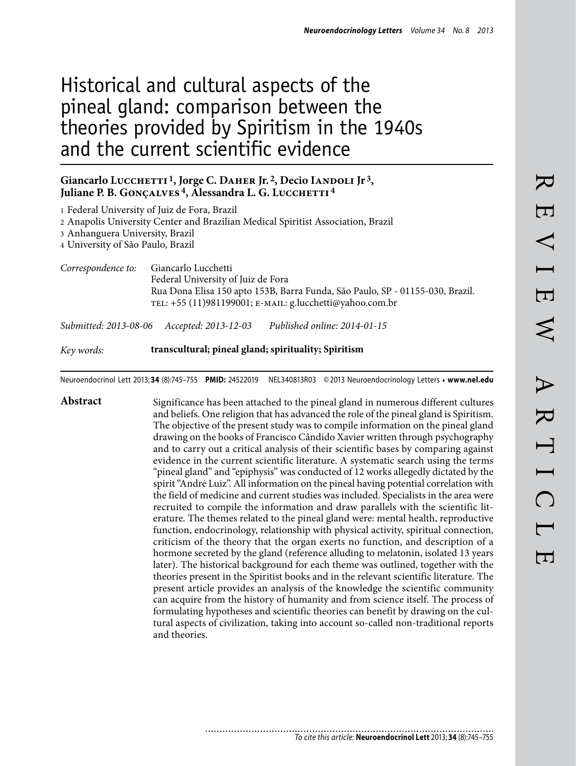# Historical and cultural aspects of the pineal gland: comparison between the theories provided by Spiritism in the 1940s and the current scientific evidence

#### Giancarlo Lucchetti<sup>1</sup>, Jorge C. DAHER Jr.<sup>2</sup>, Decio IANDOLI Jr<sup>3</sup>, Juliane P. B. GONÇALVES<sup>4</sup>, Alessandra L. G. LUCCHETTI<sup>4</sup>

| 3 Anhanguera University, Brazil<br>4 University of São Paulo, Brazil | 1 Federal University of Juiz de Fora, Brazil<br>2 Anapolis University Center and Brazilian Medical Spiritist Association, Brazil                                                                       |
|----------------------------------------------------------------------|--------------------------------------------------------------------------------------------------------------------------------------------------------------------------------------------------------|
| Correspondence to:                                                   | Giancarlo Lucchetti<br>Federal University of Juiz de Fora<br>Rua Dona Elisa 150 apto 153B, Barra Funda, São Paulo, SP - 01155-030, Brazil.<br>TEL: +55 (11)981199001; E-MAIL: g.lucchetti@yahoo.com.br |
|                                                                      | Published online: 2014-01-15<br>Submitted: 2013-08-06 Accepted: 2013-12-03                                                                                                                             |

*Key words:* **transcultural; pineal gland; spirituality; Spiritism** 

Neuroendocrinol Lett 2013; **34** (8):745–755 **PMID:** 24522019 NEL340813R03 © 2013 Neuroendocrinology Letters • **www.nel.edu**

Abstract Significance has been attached to the pineal gland in numerous different cultures and beliefs. One religion that has advanced the role of the pineal gland is Spiritism. The objective of the present study was to compile information on the pineal gland drawing on the books of Francisco Cândido Xavier written through psychography and to carry out a critical analysis of their scientific bases by comparing against evidence in the current scientific literature. A systematic search using the terms "pineal gland" and "epiphysis" was conducted of 12 works allegedly dictated by the spirit "André Luiz". All information on the pineal having potential correlation with the field of medicine and current studies was included. Specialists in the area were recruited to compile the information and draw parallels with the scientific literature. The themes related to the pineal gland were: mental health, reproductive function, endocrinology, relationship with physical activity, spiritual connection, criticism of the theory that the organ exerts no function, and description of a hormone secreted by the gland (reference alluding to melatonin, isolated 13 years later). The historical background for each theme was outlined, together with the theories present in the Spiritist books and in the relevant scientific literature. The present article provides an analysis of the knowledge the scientific community can acquire from the history of humanity and from science itself. The process of formulating hypotheses and scientific theories can benefit by drawing on the cultural aspects of civilization, taking into account so-called non-traditional reports and theories.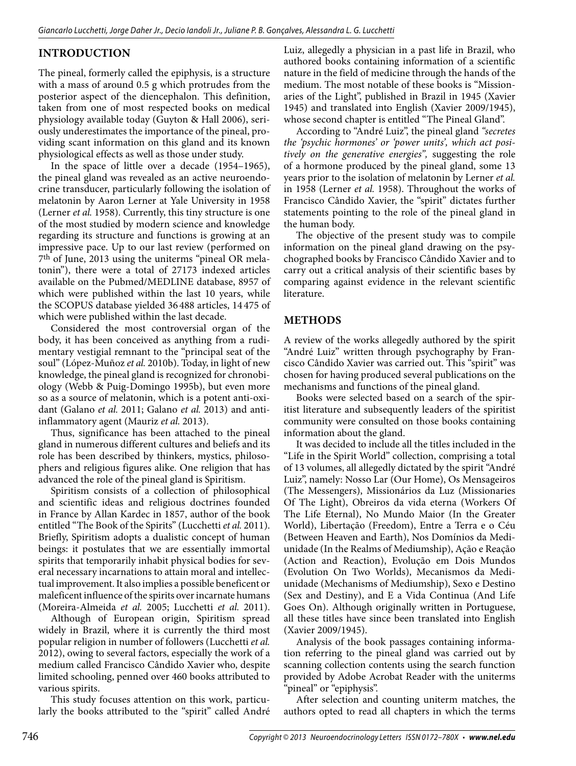## **INTRODUCTION**

The pineal, formerly called the epiphysis, is a structure with a mass of around 0.5 g which protrudes from the posterior aspect of the diencephalon. This definition, taken from one of most respected books on medical physiology available today (Guyton & Hall 2006), seriously underestimates the importance of the pineal, providing scant information on this gland and its known physiological effects as well as those under study.

In the space of little over a decade (1954–1965), the pineal gland was revealed as an active neuroendocrine transducer, particularly following the isolation of melatonin by Aaron Lerner at Yale University in 1958 (Lerner *et al.* 1958). Currently, this tiny structure is one of the most studied by modern science and knowledge regarding its structure and functions is growing at an impressive pace. Up to our last review (performed on 7th of June, 2013 using the uniterms "pineal OR melatonin"), there were a total of 27173 indexed articles available on the Pubmed/MEDLINE database, 8957 of which were published within the last 10 years, while the SCOPUS database yielded 36 488 articles, 14 475 of which were published within the last decade.

Considered the most controversial organ of the body, it has been conceived as anything from a rudimentary vestigial remnant to the "principal seat of the soul" (López-Muñoz *et al.* 2010b). Today, in light of new knowledge, the pineal gland is recognized for chronobiology (Webb & Puig-Domingo 1995b), but even more so as a source of melatonin, which is a potent anti-oxidant (Galano *et al.* 2011; Galano *et al.* 2013) and antiinflammatory agent (Mauriz *et al.* 2013).

Thus, significance has been attached to the pineal gland in numerous different cultures and beliefs and its role has been described by thinkers, mystics, philosophers and religious figures alike. One religion that has advanced the role of the pineal gland is Spiritism.

Spiritism consists of a collection of philosophical and scientific ideas and religious doctrines founded in France by Allan Kardec in 1857, author of the book entitled "The Book of the Spirits" (Lucchetti *et al.* 2011). Briefly, Spiritism adopts a dualistic concept of human beings: it postulates that we are essentially immortal spirits that temporarily inhabit physical bodies for several necessary incarnations to attain moral and intellectual improvement. It also implies a possible beneficent or maleficent influence of the spirits over incarnate humans (Moreira-Almeida *et al.* 2005; Lucchetti *et al.* 2011).

Although of European origin, Spiritism spread widely in Brazil, where it is currently the third most popular religion in number of followers (Lucchetti *et al.*  2012), owing to several factors, especially the work of a medium called Francisco Cândido Xavier who, despite limited schooling, penned over 460 books attributed to various spirits.

This study focuses attention on this work, particularly the books attributed to the "spirit" called André Luiz, allegedly a physician in a past life in Brazil, who authored books containing information of a scientific nature in the field of medicine through the hands of the medium. The most notable of these books is "Missionaries of the Light", published in Brazil in 1945 (Xavier 1945) and translated into English (Xavier 2009/1945), whose second chapter is entitled "The Pineal Gland".

According to "André Luiz", the pineal gland *"secretes the 'psychic hormones' or 'power units', which act positively on the generative energies",* suggesting the role of a hormone produced by the pineal gland, some 13 years prior to the isolation of melatonin by Lerner *et al.*  in 1958 (Lerner *et al.* 1958). Throughout the works of Francisco Cândido Xavier, the "spirit" dictates further statements pointing to the role of the pineal gland in the human body.

The objective of the present study was to compile information on the pineal gland drawing on the psychographed books by Francisco Cândido Xavier and to carry out a critical analysis of their scientific bases by comparing against evidence in the relevant scientific literature.

## **METHODS**

A review of the works allegedly authored by the spirit "André Luiz" written through psychography by Francisco Cândido Xavier was carried out. This "spirit" was chosen for having produced several publications on the mechanisms and functions of the pineal gland.

Books were selected based on a search of the spiritist literature and subsequently leaders of the spiritist community were consulted on those books containing information about the gland.

It was decided to include all the titles included in the "Life in the Spirit World" collection, comprising a total of 13 volumes, all allegedly dictated by the spirit "André Luiz", namely: Nosso Lar (Our Home), Os Mensageiros (The Messengers), Missionários da Luz (Missionaries Of The Light), Obreiros da vida eterna (Workers Of The Life Eternal), No Mundo Maior (In the Greater World), Libertação (Freedom), Entre a Terra e o Céu (Between Heaven and Earth), Nos Domínios da Mediunidade (In the Realms of Mediumship), Ação e Reação (Action and Reaction), Evolução em Dois Mundos (Evolution On Two Worlds), Mecanismos da Mediunidade (Mechanisms of Mediumship), Sexo e Destino (Sex and Destiny), and E a Vida Continua (And Life Goes On). Although originally written in Portuguese, all these titles have since been translated into English (Xavier 2009/1945).

Analysis of the book passages containing information referring to the pineal gland was carried out by scanning collection contents using the search function provided by Adobe Acrobat Reader with the uniterms "pineal" or "epiphysis".

After selection and counting uniterm matches, the authors opted to read all chapters in which the terms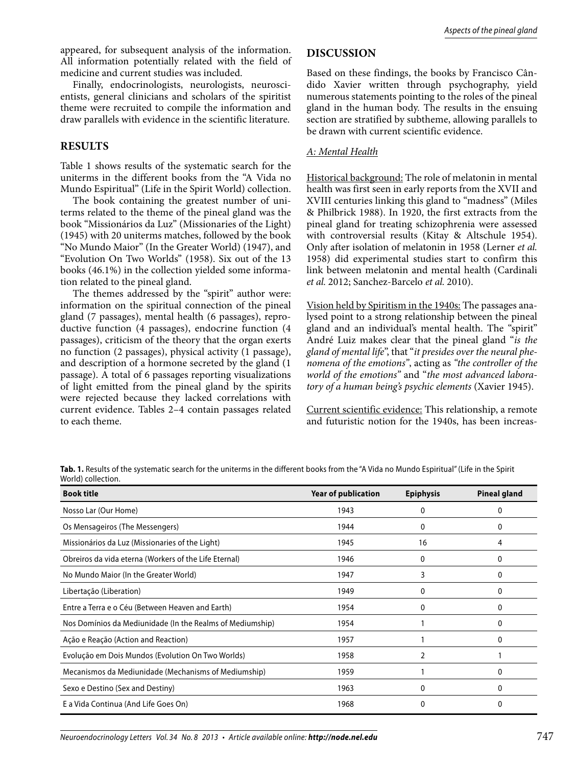appeared, for subsequent analysis of the information. All information potentially related with the field of medicine and current studies was included.

Finally, endocrinologists, neurologists, neuroscientists, general clinicians and scholars of the spiritist theme were recruited to compile the information and draw parallels with evidence in the scientific literature.

### **RESULTS**

Table 1 shows results of the systematic search for the uniterms in the different books from the "A Vida no Mundo Espiritual" (Life in the Spirit World) collection.

The book containing the greatest number of uniterms related to the theme of the pineal gland was the book "Missionários da Luz" (Missionaries of the Light) (1945) with 20 uniterms matches, followed by the book "No Mundo Maior" (In the Greater World) (1947), and "Evolution On Two Worlds" (1958). Six out of the 13 books (46.1%) in the collection yielded some information related to the pineal gland.

The themes addressed by the "spirit" author were: information on the spiritual connection of the pineal gland (7 passages), mental health (6 passages), reproductive function (4 passages), endocrine function (4 passages), criticism of the theory that the organ exerts no function (2 passages), physical activity (1 passage), and description of a hormone secreted by the gland (1 passage). A total of 6 passages reporting visualizations of light emitted from the pineal gland by the spirits were rejected because they lacked correlations with current evidence. Tables 2–4 contain passages related to each theme.

## **DISCUSSION**

Based on these findings, the books by Francisco Cândido Xavier written through psychography, yield numerous statements pointing to the roles of the pineal gland in the human body. The results in the ensuing section are stratified by subtheme, allowing parallels to be drawn with current scientific evidence.

#### *A: Mental Health*

Historical background: The role of melatonin in mental health was first seen in early reports from the XVII and XVIII centuries linking this gland to "madness" (Miles & Philbrick 1988). In 1920, the first extracts from the pineal gland for treating schizophrenia were assessed with controversial results (Kitay & Altschule 1954). Only after isolation of melatonin in 1958 (Lerner *et al.*  1958) did experimental studies start to confirm this link between melatonin and mental health (Cardinali *et al.* 2012; Sanchez-Barcelo *et al.* 2010).

Vision held by Spiritism in the 1940s: The passages analysed point to a strong relationship between the pineal gland and an individual's mental health. The "spirit" André Luiz makes clear that the pineal gland "*is the gland of mental life*", that "*it presides over the neural phenomena of the emotions"*, acting as *"the controller of the world of the emotions"* and "*the most advanced laboratory of a human being's psychic elements* (Xavier 1945).

Current scientific evidence: This relationship, a remote and futuristic notion for the 1940s, has been increas-

**Tab. 1.** Results of the systematic search for the uniterms in the different books from the "A Vida no Mundo Espiritual" (Life in the Spirit World) collection.

| <b>Book title</b>                                         | <b>Year of publication</b> | <b>Epiphysis</b> | Pineal gland |
|-----------------------------------------------------------|----------------------------|------------------|--------------|
| Nosso Lar (Our Home)                                      | 1943                       | 0                | 0            |
| Os Mensageiros (The Messengers)                           | 1944                       | 0                | 0            |
| Missionários da Luz (Missionaries of the Light)           | 1945                       | 16               | 4            |
| Obreiros da vida eterna (Workers of the Life Eternal)     | 1946                       | 0                | 0            |
| No Mundo Maior (In the Greater World)                     | 1947                       | 3                | 0            |
| Libertação (Liberation)                                   | 1949                       | 0                | 0            |
| Entre a Terra e o Céu (Between Heaven and Earth)          | 1954                       | 0                | 0            |
| Nos Domínios da Mediunidade (In the Realms of Mediumship) | 1954                       |                  | 0            |
| Ação e Reação (Action and Reaction)                       | 1957                       |                  | 0            |
| Evolução em Dois Mundos (Evolution On Two Worlds)         | 1958                       | 2                |              |
| Mecanismos da Mediunidade (Mechanisms of Mediumship)      | 1959                       |                  | 0            |
| Sexo e Destino (Sex and Destiny)                          | 1963                       | $\Omega$         | $\mathbf{0}$ |
| E a Vida Continua (And Life Goes On)                      | 1968                       | 0                | 0            |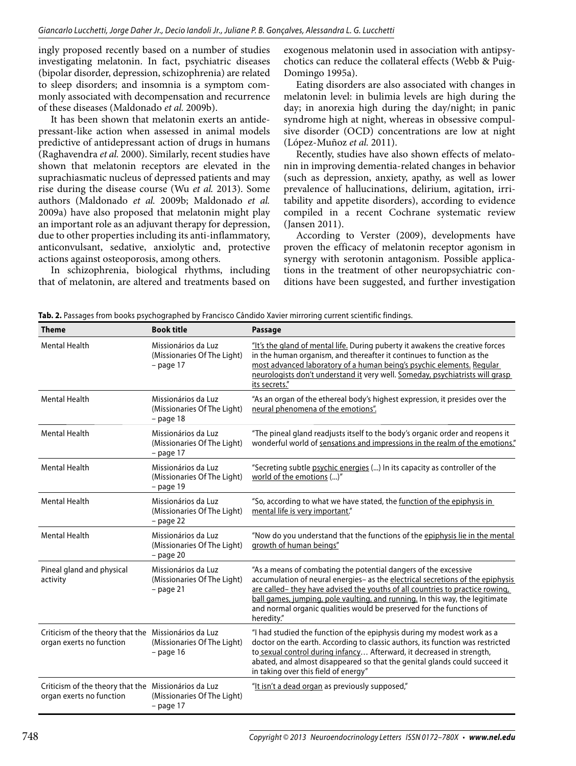ingly proposed recently based on a number of studies investigating melatonin. In fact, psychiatric diseases (bipolar disorder, depression, schizophrenia) are related to sleep disorders; and insomnia is a symptom commonly associated with decompensation and recurrence of these diseases (Maldonado *et al.* 2009b).

It has been shown that melatonin exerts an antidepressant-like action when assessed in animal models predictive of antidepressant action of drugs in humans (Raghavendra *et al.* 2000). Similarly, recent studies have shown that melatonin receptors are elevated in the suprachiasmatic nucleus of depressed patients and may rise during the disease course (Wu *et al.* 2013). Some authors (Maldonado *et al.* 2009b; Maldonado *et al.*  2009a) have also proposed that melatonin might play an important role as an adjuvant therapy for depression, due to other properties including its anti-inflammatory, anticonvulsant, sedative, anxiolytic and, protective actions against osteoporosis, among others.

In schizophrenia, biological rhythms, including that of melatonin, are altered and treatments based on exogenous melatonin used in association with antipsychotics can reduce the collateral effects (Webb & Puig-Domingo 1995a).

Eating disorders are also associated with changes in melatonin level: in bulimia levels are high during the day; in anorexia high during the day/night; in panic syndrome high at night, whereas in obsessive compulsive disorder (OCD) concentrations are low at night (López-Muñoz *et al.* 2011).

Recently, studies have also shown effects of melatonin in improving dementia-related changes in behavior (such as depression, anxiety, apathy, as well as lower prevalence of hallucinations, delirium, agitation, irritability and appetite disorders), according to evidence compiled in a recent Cochrane systematic review (Jansen 2011).

According to Verster (2009), developments have proven the efficacy of melatonin receptor agonism in synergy with serotonin antagonism. Possible applications in the treatment of other neuropsychiatric conditions have been suggested, and further investigation

| <b>Theme</b>                                                                     | <b>Book title</b>                                                 | <b>Passage</b>                                                                                                                                                                                                                                                                                                                                                                                          |
|----------------------------------------------------------------------------------|-------------------------------------------------------------------|---------------------------------------------------------------------------------------------------------------------------------------------------------------------------------------------------------------------------------------------------------------------------------------------------------------------------------------------------------------------------------------------------------|
| <b>Mental Health</b>                                                             | Missionários da Luz<br>(Missionaries Of The Light)<br>$-$ page 17 | "It's the gland of mental life. During puberty it awakens the creative forces<br>in the human organism, and thereafter it continues to function as the<br>most advanced laboratory of a human being's psychic elements. Regular<br>neurologists don't understand it very well. Someday, psychiatrists will grasp<br>its secrets."                                                                       |
| <b>Mental Health</b>                                                             | Missionários da Luz<br>(Missionaries Of The Light)<br>$-$ page 18 | "As an organ of the ethereal body's highest expression, it presides over the<br>neural phenomena of the emotions".                                                                                                                                                                                                                                                                                      |
| <b>Mental Health</b>                                                             | Missionários da Luz<br>(Missionaries Of The Light)<br>$-$ page 17 | "The pineal gland readjusts itself to the body's organic order and reopens it<br>wonderful world of sensations and impressions in the realm of the emotions."                                                                                                                                                                                                                                           |
| <b>Mental Health</b>                                                             | Missionários da Luz<br>(Missionaries Of The Light)<br>$-$ page 19 | "Secreting subtle psychic energies () In its capacity as controller of the<br>world of the emotions ()"                                                                                                                                                                                                                                                                                                 |
| <b>Mental Health</b>                                                             | Missionários da Luz<br>(Missionaries Of The Light)<br>$-$ page 22 | "So, according to what we have stated, the function of the epiphysis in<br>mental life is very important."                                                                                                                                                                                                                                                                                              |
| <b>Mental Health</b>                                                             | Missionários da Luz<br>(Missionaries Of The Light)<br>$-$ page 20 | "Now do you understand that the functions of the epiphysis lie in the mental<br>growth of human beings"                                                                                                                                                                                                                                                                                                 |
| Pineal gland and physical<br>activity                                            | Missionários da Luz<br>(Missionaries Of The Light)<br>$-$ page 21 | "As a means of combating the potential dangers of the excessive<br>accumulation of neural energies- as the electrical secretions of the epiphysis<br>are called-they have advised the youths of all countries to practice rowing,<br>ball games, jumping, pole vaulting, and running. In this way, the legitimate<br>and normal organic qualities would be preserved for the functions of<br>heredity." |
| Criticism of the theory that the Missionários da Luz<br>organ exerts no function | (Missionaries Of The Light)<br>$-$ page 16                        | "I had studied the function of the epiphysis during my modest work as a<br>doctor on the earth. According to classic authors, its function was restricted<br>to sexual control during infancy Afterward, it decreased in strength,<br>abated, and almost disappeared so that the genital glands could succeed it<br>in taking over this field of energy"                                                |
| Criticism of the theory that the Missionários da Luz<br>organ exerts no function | (Missionaries Of The Light)<br>$-$ page 17                        | "It isn't a dead organ as previously supposed,"                                                                                                                                                                                                                                                                                                                                                         |

**Tab. 2.** Passages from books psychographed by Francisco Cândido Xavier mirroring current scientific findings.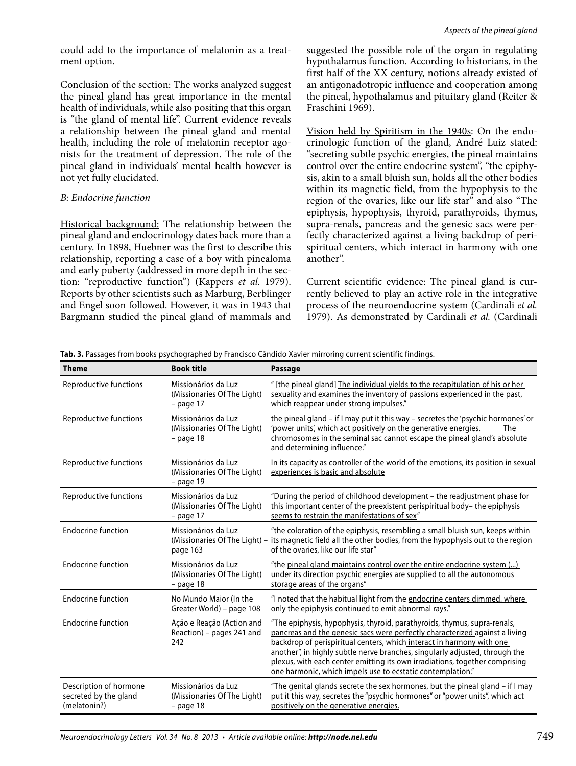could add to the importance of melatonin as a treatment option.

Conclusion of the section: The works analyzed suggest the pineal gland has great importance in the mental health of individuals, while also positing that this organ is "the gland of mental life". Current evidence reveals a relationship between the pineal gland and mental health, including the role of melatonin receptor agonists for the treatment of depression. The role of the pineal gland in individuals' mental health however is not yet fully elucidated.

#### *B: Endocrine function*

Historical background: The relationship between the pineal gland and endocrinology dates back more than a century. In 1898, Huebner was the first to describe this relationship, reporting a case of a boy with pinealoma and early puberty (addressed in more depth in the section: "reproductive function") (Kappers *et al.* 1979). Reports by other scientists such as Marburg, Berblinger and Engel soon followed. However, it was in 1943 that Bargmann studied the pineal gland of mammals and

suggested the possible role of the organ in regulating hypothalamus function. According to historians, in the first half of the XX century, notions already existed of an antigonadotropic influence and cooperation among the pineal, hypothalamus and pituitary gland (Reiter & Fraschini 1969).

Vision held by Spiritism in the 1940s: On the endocrinologic function of the gland, André Luiz stated: "secreting subtle psychic energies, the pineal maintains control over the entire endocrine system", "the epiphysis, akin to a small bluish sun, holds all the other bodies within its magnetic field, from the hypophysis to the region of the ovaries, like our life star" and also "The epiphysis, hypophysis, thyroid, parathyroids, thymus, supra-renals, pancreas and the genesic sacs were perfectly characterized against a living backdrop of perispiritual centers, which interact in harmony with one another".

Current scientific evidence: The pineal gland is currently believed to play an active role in the integrative process of the neuroendocrine system (Cardinali *et al.*  1979). As demonstrated by Cardinali *et al.* (Cardinali

|  |  |  |  |  | <b>Tab. 3.</b> Passages from books psychographed by Francisco Cândido Xavier mirroring current scientific findings. |  |
|--|--|--|--|--|---------------------------------------------------------------------------------------------------------------------|--|
|  |  |  |  |  |                                                                                                                     |  |

| <b>Theme</b>                                                    | <b>Book title</b>                                                 | <b>Passage</b>                                                                                                                                                                                                                                                                                                                                                                                                                                               |
|-----------------------------------------------------------------|-------------------------------------------------------------------|--------------------------------------------------------------------------------------------------------------------------------------------------------------------------------------------------------------------------------------------------------------------------------------------------------------------------------------------------------------------------------------------------------------------------------------------------------------|
| Reproductive functions                                          | Missionários da Luz<br>(Missionaries Of The Light)<br>$-$ page 17 | " [the pineal gland] The individual yields to the recapitulation of his or her<br>sexuality and examines the inventory of passions experienced in the past,<br>which reappear under strong impulses."                                                                                                                                                                                                                                                        |
| Reproductive functions                                          | Missionários da Luz<br>(Missionaries Of The Light)<br>$-$ page 18 | the pineal gland - if I may put it this way - secretes the 'psychic hormones' or<br>'power units', which act positively on the generative energies.<br>The<br>chromosomes in the seminal sac cannot escape the pineal gland's absolute<br>and determining influence."                                                                                                                                                                                        |
| Reproductive functions                                          | Missionários da Luz<br>(Missionaries Of The Light)<br>$-$ page 19 | In its capacity as controller of the world of the emotions, its position in sexual<br>experiences is basic and absolute                                                                                                                                                                                                                                                                                                                                      |
| Reproductive functions                                          | Missionários da Luz<br>(Missionaries Of The Light)<br>$-$ page 17 | "During the period of childhood development - the readjustment phase for<br>this important center of the preexistent perispiritual body-the epiphysis<br>seems to restrain the manifestations of sex"                                                                                                                                                                                                                                                        |
| <b>Endocrine function</b>                                       | Missionários da Luz<br>(Missionaries Of The Light) -<br>page 163  | "the coloration of the epiphysis, resembling a small bluish sun, keeps within<br>its magnetic field all the other bodies, from the hypophysis out to the region<br>of the ovaries, like our life star"                                                                                                                                                                                                                                                       |
| <b>Endocrine function</b>                                       | Missionários da Luz<br>(Missionaries Of The Light)<br>$-$ page 18 | "the pineal gland maintains control over the entire endocrine system ()<br>under its direction psychic energies are supplied to all the autonomous<br>storage areas of the organs"                                                                                                                                                                                                                                                                           |
| <b>Endocrine function</b>                                       | No Mundo Maior (In the<br>Greater World) – page 108               | "I noted that the habitual light from the endocrine centers dimmed, where<br>only the epiphysis continued to emit abnormal rays."                                                                                                                                                                                                                                                                                                                            |
| <b>Endocrine function</b>                                       | Ação e Reação (Action and<br>Reaction) – pages 241 and<br>242     | "The epiphysis, hypophysis, thyroid, parathyroids, thymus, supra-renals,<br>pancreas and the genesic sacs were perfectly characterized against a living<br>backdrop of perispiritual centers, which interact in harmony with one<br>another", in highly subtle nerve branches, singularly adjusted, through the<br>plexus, with each center emitting its own irradiations, together comprising<br>one harmonic, which impels use to ecstatic contemplation." |
| Description of hormone<br>secreted by the gland<br>(melatonin?) | Missionários da Luz<br>(Missionaries Of The Light)<br>$-$ page 18 | "The genital glands secrete the sex hormones, but the pineal gland – if I may<br>put it this way, secretes the "psychic hormones" or "power units", which act<br>positively on the generative energies.                                                                                                                                                                                                                                                      |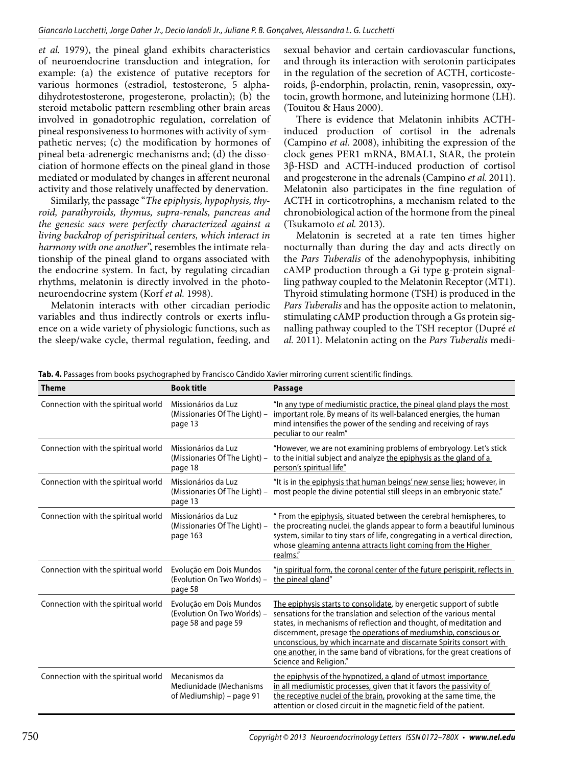*et al.* 1979), the pineal gland exhibits characteristics of neuroendocrine transduction and integration, for example: (a) the existence of putative receptors for various hormones (estradiol, testosterone, 5 alphadihydrotestosterone, progesterone, prolactin); (b) the steroid metabolic pattern resembling other brain areas involved in gonadotrophic regulation, correlation of pineal responsiveness to hormones with activity of sympathetic nerves; (c) the modification by hormones of pineal beta-adrenergic mechanisms and; (d) the dissociation of hormone effects on the pineal gland in those mediated or modulated by changes in afferent neuronal activity and those relatively unaffected by denervation.

Similarly, the passage "*The epiphysis, hypophysis, thyroid, parathyroids, thymus, supra-renals, pancreas and the genesic sacs were perfectly characterized against a living backdrop of perispiritual centers, which interact in harmony with one another*", resembles the intimate relationship of the pineal gland to organs associated with the endocrine system. In fact, by regulating circadian rhythms, melatonin is directly involved in the photoneuroendocrine system (Korf *et al.* 1998).

Melatonin interacts with other circadian periodic variables and thus indirectly controls or exerts influence on a wide variety of physiologic functions, such as the sleep/wake cycle, thermal regulation, feeding, and sexual behavior and certain cardiovascular functions, and through its interaction with serotonin participates in the regulation of the secretion of ACTH, corticosteroids, β-endorphin, prolactin, renin, vasopressin, oxytocin, growth hormone, and luteinizing hormone (LH). (Touitou & Haus 2000).

There is evidence that Melatonin inhibits ACTHinduced production of cortisol in the adrenals (Campino *et al.* 2008), inhibiting the expression of the clock genes PER1 mRNA, BMAL1, StAR, the protein 3β-HSD and ACTH-induced production of cortisol and progesterone in the adrenals (Campino *et al.* 2011). Melatonin also participates in the fine regulation of ACTH in corticotrophins, a mechanism related to the chronobiological action of the hormone from the pineal (Tsukamoto *et al.* 2013).

Melatonin is secreted at a rate ten times higher nocturnally than during the day and acts directly on the *Pars Tuberalis* of the adenohypophysis, inhibiting cAMP production through a Gi type g-protein signalling pathway coupled to the Melatonin Receptor (MT1). Thyroid stimulating hormone (TSH) is produced in the *Pars Tuberalis* and has the opposite action to melatonin, stimulating cAMP production through a Gs protein signalling pathway coupled to the TSH receptor (Dupré *et al.* 2011). Melatonin acting on the *Pars Tuberalis* medi-

**Tab. 4.** Passages from books psychographed by Francisco Cândido Xavier mirroring current scientific findings.

| <b>Theme</b>                                                                                           | <b>Book title</b>                                                             | <b>Passage</b>                                                                                                                                                                                                                                                                                                                                                                                                                                                 |  |  |
|--------------------------------------------------------------------------------------------------------|-------------------------------------------------------------------------------|----------------------------------------------------------------------------------------------------------------------------------------------------------------------------------------------------------------------------------------------------------------------------------------------------------------------------------------------------------------------------------------------------------------------------------------------------------------|--|--|
| Connection with the spiritual world<br>Missionários da Luz<br>(Missionaries Of The Light) -<br>page 13 |                                                                               | "In any type of mediumistic practice, the pineal gland plays the most<br>important role. By means of its well-balanced energies, the human<br>mind intensifies the power of the sending and receiving of rays<br>peculiar to our realm"                                                                                                                                                                                                                        |  |  |
| Connection with the spiritual world                                                                    | Missionários da Luz<br>(Missionaries Of The Light) -<br>page 18               | "However, we are not examining problems of embryology. Let's stick<br>to the initial subject and analyze the epiphysis as the gland of a<br>person's spiritual life"                                                                                                                                                                                                                                                                                           |  |  |
| Connection with the spiritual world                                                                    | Missionários da Luz<br>(Missionaries Of The Light) -<br>page 13               | "It is in the epiphysis that human beings' new sense lies; however, in<br>most people the divine potential still sleeps in an embryonic state."                                                                                                                                                                                                                                                                                                                |  |  |
| Connection with the spiritual world                                                                    | Missionários da Luz<br>(Missionaries Of The Light) -<br>page 163              | " From the epiphysis, situated between the cerebral hemispheres, to<br>the procreating nuclei, the glands appear to form a beautiful luminous<br>system, similar to tiny stars of life, congregating in a vertical direction,<br>whose gleaming antenna attracts light coming from the Higher<br>realms."                                                                                                                                                      |  |  |
| Connection with the spiritual world                                                                    | Evolução em Dois Mundos<br>(Evolution On Two Worlds) -<br>page 58             | "in spiritual form, the coronal center of the future perispirit, reflects in<br>the pineal gland"                                                                                                                                                                                                                                                                                                                                                              |  |  |
| Connection with the spiritual world                                                                    | Evolução em Dois Mundos<br>(Evolution On Two Worlds) -<br>page 58 and page 59 | The epiphysis starts to consolidate, by energetic support of subtle<br>sensations for the translation and selection of the various mental<br>states, in mechanisms of reflection and thought, of meditation and<br>discernment, presage the operations of mediumship, conscious or<br>unconscious, by which incarnate and discarnate Spirits consort with<br>one another, in the same band of vibrations, for the great creations of<br>Science and Religion." |  |  |
| Connection with the spiritual world                                                                    | Mecanismos da<br>Mediunidade (Mechanisms<br>of Mediumship) – page 91          | the epiphysis of the hypnotized, a gland of utmost importance<br>in all mediumistic processes, given that it favors the passivity of<br>the receptive nuclei of the brain, provoking at the same time, the<br>attention or closed circuit in the magnetic field of the patient.                                                                                                                                                                                |  |  |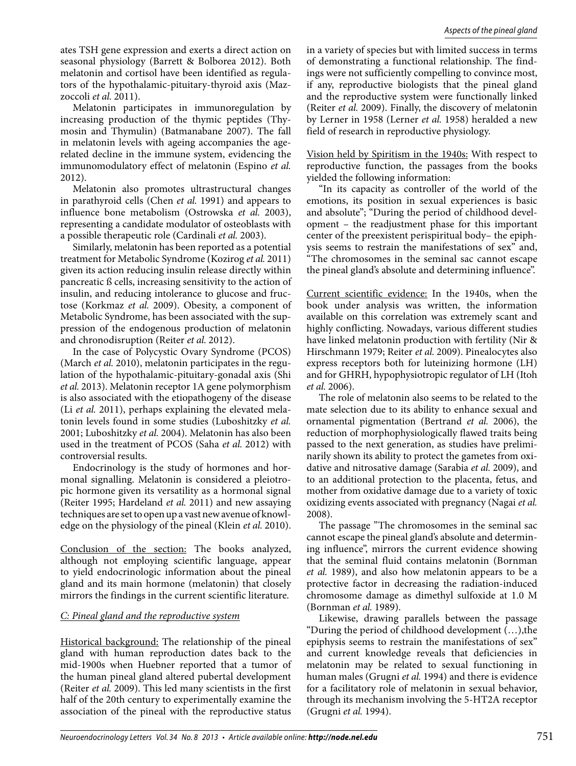ates TSH gene expression and exerts a direct action on seasonal physiology (Barrett & Bolborea 2012). Both melatonin and cortisol have been identified as regulators of the hypothalamic-pituitary-thyroid axis (Mazzoccoli *et al.* 2011).

Melatonin participates in immunoregulation by increasing production of the thymic peptides (Thymosin and Thymulin) (Batmanabane 2007). The fall in melatonin levels with ageing accompanies the agerelated decline in the immune system, evidencing the immunomodulatory effect of melatonin (Espino *et al.*  2012).

Melatonin also promotes ultrastructural changes in parathyroid cells (Chen *et al.* 1991) and appears to influence bone metabolism (Ostrowska *et al.* 2003), representing a candidate modulator of osteoblasts with a possible therapeutic role (Cardinali *et al.* 2003).

Similarly, melatonin has been reported as a potential treatment for Metabolic Syndrome (Kozirog *et al.* 2011) given its action reducing insulin release directly within pancreatic ß cells, increasing sensitivity to the action of insulin, and reducing intolerance to glucose and fructose (Korkmaz *et al.* 2009). Obesity, a component of Metabolic Syndrome, has been associated with the suppression of the endogenous production of melatonin and chronodisruption (Reiter *et al.* 2012).

In the case of Polycystic Ovary Syndrome (PCOS) (March *et al.* 2010), melatonin participates in the regulation of the hypothalamic-pituitary-gonadal axis (Shi *et al.* 2013). Melatonin receptor 1A gene polymorphism is also associated with the etiopathogeny of the disease (Li *et al.* 2011), perhaps explaining the elevated melatonin levels found in some studies (Luboshitzky *et al.*  2001; Luboshitzky *et al.* 2004). Melatonin has also been used in the treatment of PCOS (Saha *et al.* 2012) with controversial results.

Endocrinology is the study of hormones and hormonal signalling. Melatonin is considered a pleiotropic hormone given its versatility as a hormonal signal (Reiter 1995; Hardeland *et al.* 2011) and new assaying techniques are set to open up a vast new avenue of knowledge on the physiology of the pineal (Klein *et al.* 2010).

Conclusion of the section: The books analyzed, although not employing scientific language, appear to yield endocrinologic information about the pineal gland and its main hormone (melatonin) that closely mirrors the findings in the current scientific literature.

#### *C: Pineal gland and the reproductive system*

Historical background: The relationship of the pineal gland with human reproduction dates back to the mid-1900s when Huebner reported that a tumor of the human pineal gland altered pubertal development (Reiter *et al.* 2009). This led many scientists in the first half of the 20th century to experimentally examine the association of the pineal with the reproductive status

in a variety of species but with limited success in terms of demonstrating a functional relationship. The findings were not sufficiently compelling to convince most, if any, reproductive biologists that the pineal gland and the reproductive system were functionally linked (Reiter *et al.* 2009). Finally, the discovery of melatonin by Lerner in 1958 (Lerner *et al.* 1958) heralded a new field of research in reproductive physiology.

Vision held by Spiritism in the 1940s: With respect to reproductive function, the passages from the books yielded the following information:

"In its capacity as controller of the world of the emotions, its position in sexual experiences is basic and absolute"; "During the period of childhood development – the readjustment phase for this important center of the preexistent perispiritual body– the epiphysis seems to restrain the manifestations of sex" and, "The chromosomes in the seminal sac cannot escape the pineal gland's absolute and determining influence".

Current scientific evidence: In the 1940s, when the book under analysis was written, the information available on this correlation was extremely scant and highly conflicting. Nowadays, various different studies have linked melatonin production with fertility (Nir & Hirschmann 1979; Reiter *et al.* 2009). Pinealocytes also express receptors both for luteinizing hormone (LH) and for GHRH, hypophysiotropic regulator of LH (Itoh *et al.* 2006).

The role of melatonin also seems to be related to the mate selection due to its ability to enhance sexual and ornamental pigmentation (Bertrand *et al.* 2006), the reduction of morphophysiologically flawed traits being passed to the next generation, as studies have preliminarily shown its ability to protect the gametes from oxidative and nitrosative damage (Sarabia *et al.* 2009), and to an additional protection to the placenta, fetus, and mother from oxidative damage due to a variety of toxic oxidizing events associated with pregnancy (Nagai *et al.*  2008).

The passage "The chromosomes in the seminal sac cannot escape the pineal gland's absolute and determining influence", mirrors the current evidence showing that the seminal fluid contains melatonin (Bornman *et al.* 1989), and also how melatonin appears to be a protective factor in decreasing the radiation-induced chromosome damage as dimethyl sulfoxide at 1.0 M (Bornman *et al.* 1989).

Likewise, drawing parallels between the passage "During the period of childhood development (…),the epiphysis seems to restrain the manifestations of sex" and current knowledge reveals that deficiencies in melatonin may be related to sexual functioning in human males (Grugni *et al.* 1994) and there is evidence for a facilitatory role of melatonin in sexual behavior, through its mechanism involving the 5-HT2A receptor (Grugni *et al.* 1994).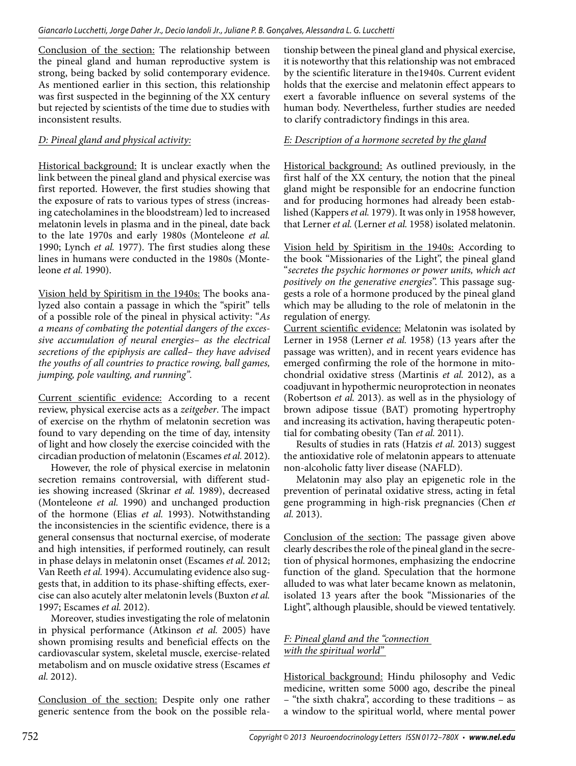Conclusion of the section: The relationship between the pineal gland and human reproductive system is strong, being backed by solid contemporary evidence. As mentioned earlier in this section, this relationship was first suspected in the beginning of the XX century but rejected by scientists of the time due to studies with inconsistent results.

### *D: Pineal gland and physical activity:*

Historical background: It is unclear exactly when the link between the pineal gland and physical exercise was first reported. However, the first studies showing that the exposure of rats to various types of stress (increasing catecholamines in the bloodstream) led to increased melatonin levels in plasma and in the pineal, date back to the late 1970s and early 1980s (Monteleone *et al.*  1990; Lynch *et al.* 1977). The first studies along these lines in humans were conducted in the 1980s (Monteleone *et al.* 1990).

Vision held by Spiritism in the 1940s: The books analyzed also contain a passage in which the "spirit" tells of a possible role of the pineal in physical activity: "*As a means of combating the potential dangers of the excessive accumulation of neural energies– as the electrical secretions of the epiphysis are called– they have advised the youths of all countries to practice rowing, ball games, jumping, pole vaulting, and running".*

Current scientific evidence: According to a recent review, physical exercise acts as a *zeitgeber*. The impact of exercise on the rhythm of melatonin secretion was found to vary depending on the time of day, intensity of light and how closely the exercise coincided with the circadian production of melatonin (Escames *et al.* 2012).

However, the role of physical exercise in melatonin secretion remains controversial, with different studies showing increased (Skrinar *et al.* 1989), decreased (Monteleone *et al.* 1990) and unchanged production of the hormone (Elias *et al.* 1993). Notwithstanding the inconsistencies in the scientific evidence, there is a general consensus that nocturnal exercise, of moderate and high intensities, if performed routinely, can result in phase delays in melatonin onset (Escames *et al.* 2012; Van Reeth *et al.* 1994). Accumulating evidence also suggests that, in addition to its phase-shifting effects, exercise can also acutely alter melatonin levels (Buxton *et al.*  1997; Escames *et al.* 2012).

Moreover, studies investigating the role of melatonin in physical performance (Atkinson *et al.* 2005) have shown promising results and beneficial effects on the cardiovascular system, skeletal muscle, exercise-related metabolism and on muscle oxidative stress (Escames *et al.* 2012).

Conclusion of the section: Despite only one rather generic sentence from the book on the possible rela-

tionship between the pineal gland and physical exercise, it is noteworthy that this relationship was not embraced by the scientific literature in the1940s. Current evident holds that the exercise and melatonin effect appears to exert a favorable influence on several systems of the human body. Nevertheless, further studies are needed to clarify contradictory findings in this area.

## *E: Description of a hormone secreted by the gland*

Historical background: As outlined previously, in the first half of the XX century, the notion that the pineal gland might be responsible for an endocrine function and for producing hormones had already been established (Kappers *et al.* 1979). It was only in 1958 however, that Lerner *et al.* (Lerner *et al.* 1958) isolated melatonin.

Vision held by Spiritism in the 1940s: According to the book "Missionaries of the Light", the pineal gland "*secretes the psychic hormones or power units, which act positively on the generative energies*". This passage suggests a role of a hormone produced by the pineal gland which may be alluding to the role of melatonin in the regulation of energy.

Current scientific evidence: Melatonin was isolated by Lerner in 1958 (Lerner *et al.* 1958) (13 years after the passage was written), and in recent years evidence has emerged confirming the role of the hormone in mitochondrial oxidative stress (Martinis *et al.* 2012), as a coadjuvant in hypothermic neuroprotection in neonates (Robertson *et al.* 2013). as well as in the physiology of brown adipose tissue (BAT) promoting hypertrophy and increasing its activation, having therapeutic potential for combating obesity (Tan *et al.* 2011).

Results of studies in rats (Hatzis *et al.* 2013) suggest the antioxidative role of melatonin appears to attenuate non-alcoholic fatty liver disease (NAFLD).

Melatonin may also play an epigenetic role in the prevention of perinatal oxidative stress, acting in fetal gene programming in high-risk pregnancies (Chen *et al.* 2013).

Conclusion of the section: The passage given above clearly describes the role of the pineal gland in the secretion of physical hormones, emphasizing the endocrine function of the gland. Speculation that the hormone alluded to was what later became known as melatonin, isolated 13 years after the book "Missionaries of the Light", although plausible, should be viewed tentatively.

#### *F: Pineal gland and the "connection with the spiritual world"*

Historical background: Hindu philosophy and Vedic medicine, written some 5000 ago, describe the pineal – "the sixth chakra", according to these traditions – as a window to the spiritual world, where mental power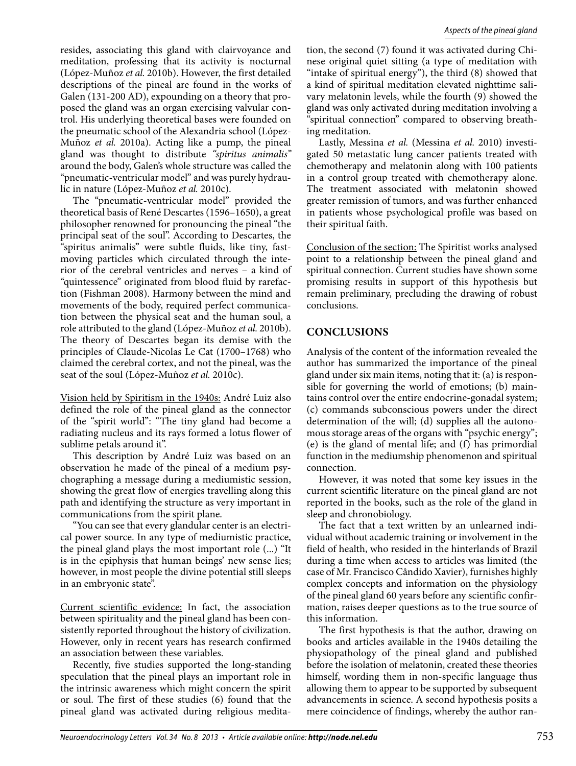resides, associating this gland with clairvoyance and meditation, professing that its activity is nocturnal (López-Muñoz *et al.* 2010b). However, the first detailed descriptions of the pineal are found in the works of Galen (131-200 AD), expounding on a theory that proposed the gland was an organ exercising valvular control. His underlying theoretical bases were founded on the pneumatic school of the Alexandria school (López-Muñoz *et al.* 2010a). Acting like a pump, the pineal gland was thought to distribute *"spiritus animalis"*  around the body, Galen's whole structure was called the "pneumatic-ventricular model" and was purely hydraulic in nature (López-Muñoz *et al.* 2010c).

The "pneumatic-ventricular model" provided the theoretical basis of René Descartes (1596–1650), a great philosopher renowned for pronouncing the pineal "the principal seat of the soul". According to Descartes, the "spiritus animalis" were subtle fluids, like tiny, fastmoving particles which circulated through the interior of the cerebral ventricles and nerves – a kind of "quintessence" originated from blood fluid by rarefaction (Fishman 2008). Harmony between the mind and movements of the body, required perfect communication between the physical seat and the human soul, a role attributed to the gland (López-Muñoz *et al.* 2010b). The theory of Descartes began its demise with the principles of Claude-Nicolas Le Cat (1700–1768) who claimed the cerebral cortex, and not the pineal, was the seat of the soul (López-Muñoz *et al.* 2010c).

Vision held by Spiritism in the 1940s: André Luiz also defined the role of the pineal gland as the connector of the "spirit world": "The tiny gland had become a radiating nucleus and its rays formed a lotus flower of sublime petals around it".

This description by André Luiz was based on an observation he made of the pineal of a medium psychographing a message during a mediumistic session, showing the great flow of energies travelling along this path and identifying the structure as very important in communications from the spirit plane.

"You can see that every glandular center is an electrical power source. In any type of mediumistic practice, the pineal gland plays the most important role (...) "It is in the epiphysis that human beings' new sense lies; however, in most people the divine potential still sleeps in an embryonic state".

Current scientific evidence: In fact, the association between spirituality and the pineal gland has been consistently reported throughout the history of civilization. However, only in recent years has research confirmed an association between these variables.

Recently, five studies supported the long-standing speculation that the pineal plays an important role in the intrinsic awareness which might concern the spirit or soul. The first of these studies (6) found that the pineal gland was activated during religious meditation, the second (7) found it was activated during Chinese original quiet sitting (a type of meditation with "intake of spiritual energy"), the third (8) showed that a kind of spiritual meditation elevated nighttime salivary melatonin levels, while the fourth (9) showed the gland was only activated during meditation involving a "spiritual connection" compared to observing breathing meditation.

Lastly, Messina *et al.* (Messina *et al.* 2010) investigated 50 metastatic lung cancer patients treated with chemotherapy and melatonin along with 100 patients in a control group treated with chemotherapy alone. The treatment associated with melatonin showed greater remission of tumors, and was further enhanced in patients whose psychological profile was based on their spiritual faith.

Conclusion of the section: The Spiritist works analysed point to a relationship between the pineal gland and spiritual connection. Current studies have shown some promising results in support of this hypothesis but remain preliminary, precluding the drawing of robust conclusions.

## **CONCLUSIONS**

Analysis of the content of the information revealed the author has summarized the importance of the pineal gland under six main items, noting that it: (a) is responsible for governing the world of emotions; (b) maintains control over the entire endocrine-gonadal system; (c) commands subconscious powers under the direct determination of the will; (d) supplies all the autonomous storage areas of the organs with "psychic energy"; (e) is the gland of mental life; and (f) has primordial function in the mediumship phenomenon and spiritual connection.

However, it was noted that some key issues in the current scientific literature on the pineal gland are not reported in the books, such as the role of the gland in sleep and chronobiology.

The fact that a text written by an unlearned individual without academic training or involvement in the field of health, who resided in the hinterlands of Brazil during a time when access to articles was limited (the case of Mr. Francisco Cândido Xavier), furnishes highly complex concepts and information on the physiology of the pineal gland 60 years before any scientific confirmation, raises deeper questions as to the true source of this information.

The first hypothesis is that the author, drawing on books and articles available in the 1940s detailing the physiopathology of the pineal gland and published before the isolation of melatonin, created these theories himself, wording them in non-specific language thus allowing them to appear to be supported by subsequent advancements in science. A second hypothesis posits a mere coincidence of findings, whereby the author ran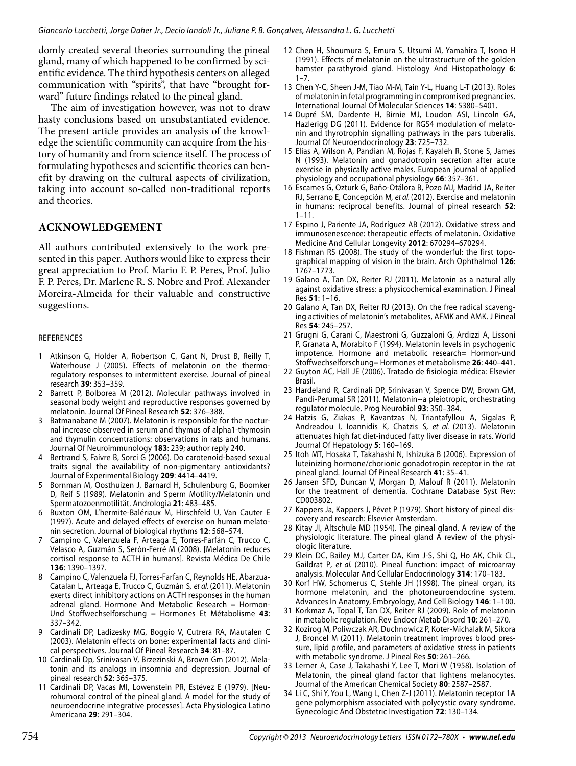domly created several theories surrounding the pineal gland, many of which happened to be confirmed by scientific evidence. The third hypothesis centers on alleged communication with "spirits", that have "brought forward" future findings related to the pineal gland.

The aim of investigation however, was not to draw hasty conclusions based on unsubstantiated evidence. The present article provides an analysis of the knowledge the scientific community can acquire from the history of humanity and from science itself. The process of formulating hypotheses and scientific theories can benefit by drawing on the cultural aspects of civilization, taking into account so-called non-traditional reports and theories.

#### **ACKNOWLEDGEMENT**

All authors contributed extensively to the work presented in this paper. Authors would like to express their great appreciation to Prof. Mario F. P. Peres, Prof. Julio F. P. Peres, Dr. Marlene R. S. Nobre and Prof. Alexander Moreira-Almeida for their valuable and constructive suggestions.

#### **REFERENCES**

- 1 Atkinson G, Holder A, Robertson C, Gant N, Drust B, Reilly T, Waterhouse J (2005). Effects of melatonin on the thermoregulatory responses to intermittent exercise. Journal of pineal research **39**: 353–359.
- Barrett P, Bolborea M (2012). Molecular pathways involved in seasonal body weight and reproductive responses governed by melatonin. Journal Of Pineal Research **52**: 376–388.
- 3 Batmanabane M (2007). Melatonin is responsible for the nocturnal increase observed in serum and thymus of alpha1-thymosin and thymulin concentrations: observations in rats and humans. Journal Of Neuroimmunology **183**: 239; author reply 240.
- 4 Bertrand S, Faivre B, Sorci G (2006). Do carotenoid-based sexual traits signal the availability of non-pigmentary antioxidants? Journal of Experimental Biology **209**: 4414–4419.
- 5 Bornman M, Oosthuizen J, Barnard H, Schulenburg G, Boomker D, Reif S (1989). Melatonin and Sperm Motility/Melatonin und Spermatozoenmotilität. Andrologia **21**: 483–485.
- 6 Buxton OM, L'hermite-Balériaux M, Hirschfeld U, Van Cauter E (1997). Acute and delayed effects of exercise on human melatonin secretion. Journal of biological rhythms **12**: 568–574.
- 7 Campino C, Valenzuela F, Arteaga E, Torres-Farfán C, Trucco C, Velasco A, Guzmán S, Serón-Ferré M (2008). [Melatonin reduces cortisol response to ACTH in humans]. Revista Médica De Chile **136**: 1390–1397.
- Campino C, Valenzuela FJ, Torres-Farfan C, Reynolds HE, Abarzua-Catalan L, Arteaga E, Trucco C, Guzmán S, et al. (2011). Melatonin exerts direct inhibitory actions on ACTH responses in the human adrenal gland. Hormone And Metabolic Research = Hormon-Und Stoffwechselforschung = Hormones Et Métabolisme **43**: 337–342.
- 9 Cardinali DP, Ladizesky MG, Boggio V, Cutrera RA, Mautalen C (2003). Melatonin effects on bone: experimental facts and clinical perspectives. Journal Of Pineal Research **34**: 81–87.
- 10 Cardinali Dp, Srinivasan V, Brzezinski A, Brown Gm (2012). Melatonin and its analogs in insomnia and depression. Journal of pineal research **52**: 365–375.
- 11 Cardinali DP, Vacas MI, Lowenstein PR, Estévez E (1979). [Neurohumoral control of the pineal gland. A model for the study of neuroendocrine integrative processes]. Acta Physiologica Latino Americana **29**: 291–304.
- 12 Chen H, Shoumura S, Emura S, Utsumi M, Yamahira T, Isono H (1991). Effects of melatonin on the ultrastructure of the golden hamster parathyroid gland. Histology And Histopathology **6**:  $1 - 7$
- 13 Chen Y-C, Sheen J-M, Tiao M-M, Tain Y-L, Huang L-T (2013). Roles of melatonin in fetal programming in compromised pregnancies. International Journal Of Molecular Sciences **14**: 5380–5401.
- 14 Dupré SM, Dardente H, Birnie MJ, Loudon ASI, Lincoln GA, Hazlerigg DG (2011). Evidence for RGS4 modulation of melatonin and thyrotrophin signalling pathways in the pars tuberalis. Journal Of Neuroendocrinology **23**: 725–732.
- 15 Elias A, Wilson A, Pandian M, Rojas F, Kayaleh R, Stone S, James N (1993). Melatonin and gonadotropin secretion after acute exercise in physically active males. European journal of applied physiology and occupational physiology **66**: 357–361.
- 16 Escames G, Ozturk G, Baño‐Otálora B, Pozo MJ, Madrid JA, Reiter RJ, Serrano E, Concepción M, et al. (2012). Exercise and melatonin in humans: reciprocal benefits. Journal of pineal research **52**:  $1 - 11$ .
- 17 Espino J, Pariente JA, Rodríguez AB (2012). Oxidative stress and immunosenescence: therapeutic effects of melatonin. Oxidative Medicine And Cellular Longevity **2012**: 670294–670294.
- 18 Fishman RS (2008). The study of the wonderful: the first topographical mapping of vision in the brain. Arch Ophthalmol **126**: 1767–1773.
- 19 Galano A, Tan DX, Reiter RJ (2011). Melatonin as a natural ally against oxidative stress: a physicochemical examination. J Pineal Res **51**: 1–16.
- 20 Galano A, Tan DX, Reiter RJ (2013). On the free radical scavenging activities of melatonin's metabolites, AFMK and AMK. J Pineal Res **54**: 245–257.
- 21 Grugni G, Carani C, Maestroni G, Guzzaloni G, Ardizzi A, Lissoni P, Granata A, Morabito F (1994). Melatonin levels in psychogenic impotence. Hormone and metabolic research= Hormon-und Stoffwechselforschung= Hormones et metabolisme **26**: 440–441.
- 22 Guyton AC, Hall JE (2006). Tratado de fisiologia médica: Elsevier Brasil.
- 23 Hardeland R, Cardinali DP, Srinivasan V, Spence DW, Brown GM, Pandi-Perumal SR (2011). Melatonin--a pleiotropic, orchestrating regulator molecule. Prog Neurobiol **93**: 350–384.
- 24 Hatzis G, Ziakas P, Kavantzas N, Triantafyllou A, Sigalas P, Andreadou I, Ioannidis K, Chatzis S, et al. (2013). Melatonin attenuates high fat diet-induced fatty liver disease in rats. World Journal Of Hepatology **5**: 160–169.
- 25 Itoh MT, Hosaka T, Takahashi N, Ishizuka B (2006). Expression of luteinizing hormone/chorionic gonadotropin receptor in the rat pineal gland. Journal Of Pineal Research **41**: 35–41.
- 26 Jansen SFD, Duncan V, Morgan D, Malouf R (2011). Melatonin for the treatment of dementia. Cochrane Database Syst Rev: CD003802.
- 27 Kappers Ja, Kappers J, Pévet P (1979). Short history of pineal discovery and research: Elsevier Amsterdam.
- 28 Kitay JI, Altschule MD (1954). The pineal gland. A review of the physiologic literature. The pineal gland A review of the physiologic literature.
- 29 Klein DC, Bailey MJ, Carter DA, Kim J-S, Shi Q, Ho AK, Chik CL, Gaildrat P, et al. (2010). Pineal function: impact of microarray analysis. Molecular And Cellular Endocrinology **314**: 170–183.
- 30 Korf HW, Schomerus C, Stehle JH (1998). The pineal organ, its hormone melatonin, and the photoneuroendocrine system. Advances In Anatomy, Embryology, And Cell Biology **146**: 1–100.
- 31 Korkmaz A, Topal T, Tan DX, Reiter RJ (2009). Role of melatonin in metabolic regulation. Rev Endocr Metab Disord **10**: 261–270.
- 32 Kozirog M, Poliwczak AR, Duchnowicz P, Koter-Michalak M, Sikora J, Broncel M (2011). Melatonin treatment improves blood pressure, lipid profile, and parameters of oxidative stress in patients with metabolic syndrome. J Pineal Res **50**: 261–266.
- 33 Lerner A, Case J, Takahashi Y, Lee T, Mori W (1958). Isolation of Melatonin, the pineal gland factor that lightens melanocytes. Journal of the American Chemical Society **80**: 2587–2587.
- 34 Li C, Shi Y, You L, Wang L, Chen Z-J (2011). Melatonin receptor 1A gene polymorphism associated with polycystic ovary syndrome. Gynecologic And Obstetric Investigation **72**: 130–134.